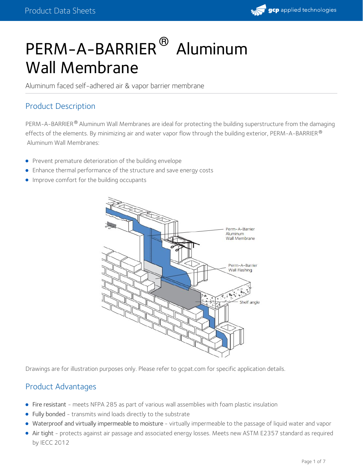

# PERM-A-BARRIER<sup>®</sup> Aluminum Wall Membrane

Aluminum faced self-adhered air & vapor barrier membrane

## Product Description

PERM-A-BARRIER $^\circledR$  Aluminum Wall Membranes are ideal for protecting the building superstructure from the damaging effects of the elements. By minimizing air and water vapor flow through the building exterior, <code>PERM-A-BARRIER</code>  $^\circ$ Aluminum Wall Membranes:

- **•** Prevent premature deterioration of the building envelope
- Enhance thermal performance of the structure and save energy costs
- **Improve comfort for the building occupants**



Drawings are for illustration purposes only. Please refer to gcpat.com for specific application details.

## Product Advantages

- Fire resistant meets NFPA 285 as part of various wall assemblies with foam plastic insulation
- Fully bonded transmits wind loads directly to the substrate
- Waterproof and virtually impermeable to moisture virtually impermeable to the passage of liquid water and vapor
- Air tight protects against air passage and associated energy losses. Meets new ASTM E2357 standard as required by IECC 2012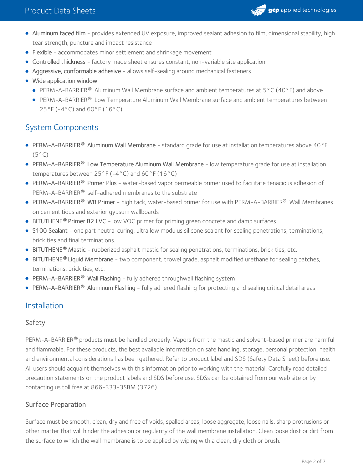

- Aluminum faced film provides extended UV exposure, improved sealant adhesion to film, dimensional stability, high tear strength, puncture and impact resistance
- Flexible accommodates minor settlement and shrinkage movement
- Controlled thickness factory made sheet ensures constant, non-variable site application
- Aggressive, conformable adhesive allows self-sealing around mechanical fasteners
- Wide application window
	- **PERM-A-BARRIER**<sup>®</sup> Aluminum Wall Membrane surface and ambient temperatures at  $5^{\circ}$ C (40°F) and above
	- PERM-A-BARRIER® Low Temperature Aluminum Wall Membrane surface and ambient temperatures between 25°F (-4°C) and 60°F (16°C)

## System Components

- PERM-A-BARRIER Aluminum Wall Membrane standard grade for use at installation temperatures above 40°F **®**  $(5^{\circ}C)$
- PERM-A-BARRIER® Low Temperature Aluminum Wall Membrane low temperature grade for use at installation temperatures between 25°F (-4°C) and 60°F (16°C)
- PERM-A-BARRIER® Primer Plus water-based vapor permeable primer used to facilitate tenacious adhesion of PERM-A-BARRIER® self-adhered membranes to the substrate
- PERM-A-BARRIER® WB Primer high tack, water-based primer for use with PERM-A-BARRIER® Wall Membranes on cementitious and exterior gypsum wallboards
- **BITUTHENE<sup>®</sup> Primer B2 LVC** low VOC primer for priming green concrete and damp surfaces
- S100 Sealant one part neutral curing, ultra low modulus silicone sealant for sealing penetrations, terminations, brick ties and final terminations.
- BITUTHENE<sup>®</sup> Mastic rubberized asphalt mastic for sealing penetrations, terminations, brick ties, etc.
- BITUTHENE® Liquid Membrane two component, trowel grade, asphalt modified urethane for sealing patches, terminations, brick ties, etc.
- PERM-A-BARRIER **®** Wall Flashing fully adhered throughwall flashing system
- **PERM-A-BARRIER<sup>®</sup> Aluminum Flashing fully adhered flashing for protecting and sealing critical detail areas**

## Installation

#### Safety

PERM-A-BARRIER® products must be handled properly. Vapors from the mastic and solvent-based primer are harmful and flammable. For these products, the best available information on safe handling, storage, personal protection, health and environmental considerations has been gathered. Refer to product label and SDS (Safety Data Sheet) before use. All users should acquaint themselves with this information prior to working with the material. Carefully read detailed precaution statements on the product labels and SDS before use. SDSs can be obtained from our web site or by contacting us toll free at 866-333-3SBM (3726).

## Surface Preparation

Surface must be smooth, clean, dry and free of voids, spalled areas, loose aggregate, loose nails, sharp protrusions or other matter that will hinder the adhesion or regularity of the wall membrane installation. Clean loose dust or dirt from the surface to which the wall membrane is to be applied by wiping with a clean, dry cloth or brush.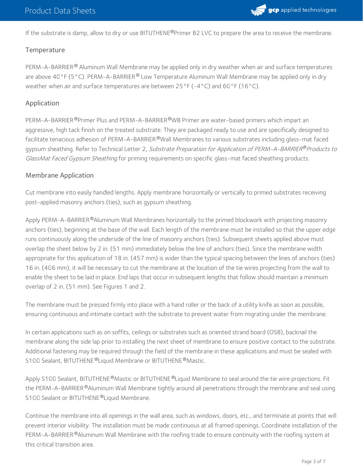

If the substrate is damp, allow to dry or use BITUTHENE®Primer B2 LVC to prepare the area to receive the membrane.

#### **Temperature**

PERM-A-BARRIER® Aluminum Wall Membrane may be applied only in dry weather when air and surface temperatures are above 40°F (5°C). PERM-A-BARRIER® Low Temperature Aluminum Wall Membrane may be applied only in dry weather when air and surface temperatures are between  $25^{\circ}F(-4^{\circ}C)$  and  $60^{\circ}F(16^{\circ}C)$ .

#### Application

PERM-A-BARRIER®Primer Plus and PERM-A-BARRIER®WB Primer are water-based primers which impart an aggressive, high tack finish on the treated substrate. They are packaged ready to use and are specifically designed to facilitate tenacious adhesion of PERM-A-BARRIER®Wall Membranes to various substrates including glass-mat faced gypsum sheathing. Refer to Technical Letter 2*, Substrate Preparation for Application of PERM-A-BARRIER®Products to* GlassMat Faced Gypsum Sheathing for priming requirements on specific glass-mat faced sheathing products.

#### Membrane Application

Cut membrane into easily handled lengths. Apply membrane horizontally or vertically to primed substrates receiving post-applied masonry anchors (ties), such as gypsum sheathing.

Apply PERM-A-BARRIER®Aluminum Wall Membranes horizontally to the primed blockwork with projecting masonry anchors (ties), beginning at the base of the wall. Each length of the membrane must be installed so that the upper edge runs continuously along the underside of the line of masonry anchors (ties). Subsequent sheets applied above must overlap the sheet below by 2 in. (51 mm) immediately below the line of anchors (ties). Since the membrane width appropriate for this application of 18 in. (457 mm) is wider than the typical spacing between the lines of anchors (ties) 16 in. (406 mm), it will be necessary to cut the membrane at the location of the tie wires projecting from the wall to enable the sheet to be laid in place. End laps that occur in subsequent lengths that follow should maintain a minimum overlap of 2 in. (51 mm). See Figures 1 and 2.

The membrane must be pressed firmly into place with a hand roller or the back of a utility knife as soon as possible, ensuring continuous and intimate contact with the substrate to prevent water from migrating under the membrane.

In certain applications such as on soffits, ceilings or substrates such as oriented strand board (OSB), backnail the membrane along the side lap prior to installing the next sheet of membrane to ensure positive contact to the substrate. Additional fastening may be required through the field of the membrane in these applications and must be sealed with S100 Sealant, BITUTHENE®Liquid Membrane or BITUTHENE®Mastic.

Apply S100 Sealant, BITUTHENE®Mastic or BITUTHENE®Liquid Membrane to seal around the tie wire projections. Fit the PERM-A-BARRIER®Aluminum Wall Membrane tightly around all penetrations through the membrane and seal using S100 Sealant or BITUTHENE®Liquid Membrane.

Continue the membrane into all openings in the wall area, such as windows, doors, etc., and terminate at points that will prevent interior visibility. The installation must be made continuous at all framed openings. Coordinate installation of the PERM-A-BARRIER®Aluminum Wall Membrane with the roofing trade to ensure continuity with the roofing system at this critical transition area.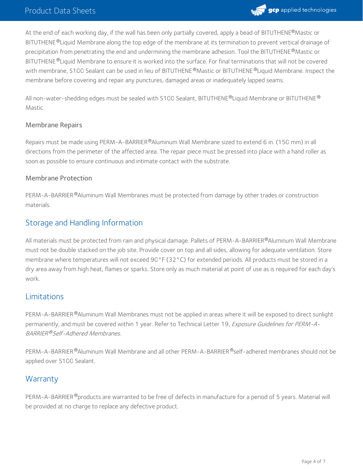

At the end of each working day, if the wall has been only partially covered, apply a bead of BITUTHENE®Mastic or BITUTHENE®Liquid Membrane along the top edge of the membrane at its termination to prevent vertical drainage of precipitation from penetrating the end and undermining the membrane adhesion. Tool the BITUTHENE  $^\circledR$ Mastic or BITUTHENE ®Liquid Membrane to ensure it is worked into the surface. For final terminations that will not be covered with membrane, S100 Sealant can be used in lieu of BITUTHENE®Mastic or BITUTHENE®Liquid Membrane. Inspect the membrane before covering and repair any punctures, damaged areas or inadequately lapped seams.

All non-water-shedding edges must be sealed with <code>S100</code> Sealant, <code>BITUTHENE®Liquid</code> Membrane or <code>BITUTHENE®</code> Mastic.

#### Membrane Repairs

Repairs must be made using PERM-A-BARRIER®Aluminum Wall Membrane sized to extend 6 in. (150 mm) in all directions from the perimeter of the affected area. The repair piece must be pressed into place with a hand roller as soon as possible to ensure continuous and intimate contact with the substrate.

#### Membrane Protection

PERM-A-BARRIER®Aluminum Wall Membranes must be protected from damage by other trades or construction materials.

## Storage and Handling Information

All materials must be protected from rain and physical damage. Pallets of PERM-A-BARRIER®Aluminum Wall Membrane must not be double stacked on the job site. Provide cover on top and all sides, allowing for adequate ventilation. Store membrane where temperatures will not exceed 90°F (32°C) for extended periods. All products must be stored in a dry area away from high heat, flames or sparks. Store only as much material at point of use as is required for each day's work.

#### Limitations

PERM-A-BARRIER®Aluminum Wall Membranes must not be applied in areas where it will be exposed to direct sunlight permanently, and must be covered within 1 year. Refer to Technical Letter 19, Exposure Guidelines for PERM-A-BARRIER®Self-Adhered Membranes.

PERM-A-BARRIER®Aluminum Wall Membrane and all other PERM-A-BARRIER®self-adhered membranes should not be applied over S100 Sealant.

## **Warranty**

PERM-A-BARRIER®products are warranted to be free of defects in manufacture for a period of 5 years. Material will be provided at no charge to replace any defective product.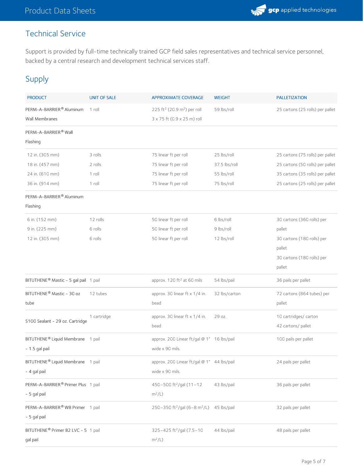## Technical Service

Support is provided by full-time technically trained GCP field sales representatives and technical service personnel, backed by a central research and development technical services staff.

## Supply

| <b>PRODUCT</b>                                  | <b>UNIT OF SALE</b> | <b>APPROXIMATE COVERAGE</b>                                                        | <b>WEIGHT</b> | <b>PALLETIZATION</b>             |
|-------------------------------------------------|---------------------|------------------------------------------------------------------------------------|---------------|----------------------------------|
| PERM-A-BARRIER® Aluminum<br>Wall Membranes      | 1 roll              | 225 ft <sup>2</sup> (20.9 m <sup>2</sup> ) per roll<br>3 x 75 ft (0.9 x 25 m) roll | 59 lbs/roll   | 25 cartons (25 rolls) per pallet |
| PERM-A-BARRIER <sup>®</sup> Wall<br>Flashing    |                     |                                                                                    |               |                                  |
| 12 in. (305 mm)                                 | 3 rolls             | 75 linear ft per roll                                                              | 25 lbs/roll   | 25 cartons (75 rolls) per pallet |
| 18 in. (457 mm)                                 | 2 rolls             | 75 linear ft per roll                                                              | 37.5 lbs/roll | 25 cartons (50 rolls) per pallet |
| 24 in. (610 mm)                                 | 1 roll              |                                                                                    | 55 lbs/roll   | 35 cartons (35 rolls) per pallet |
| 36 in. (914 mm)                                 | 1 roll              | 75 linear ft per roll<br>75 linear ft per roll                                     | 75 lbs/roll   | 25 cartons (25 rolls) per pallet |
| PERM-A-BARRIER® Aluminum                        |                     |                                                                                    |               |                                  |
| Flashing                                        |                     |                                                                                    |               |                                  |
| 6 in. (152 mm)                                  | 12 rolls            | 50 linear ft per roll                                                              | 6 lbs/roll    | 30 cartons (360 rolls) per       |
| 9 in. (225 mm)                                  | 6 rolls             | 50 linear ft per roll                                                              | 9 lbs/roll    | pallet                           |
| 12 in. (305 mm)                                 | 6 rolls             | 50 linear ft per roll                                                              | 12 lbs/roll   | 30 cartons (180 rolls) per       |
|                                                 |                     |                                                                                    |               | pallet                           |
|                                                 |                     |                                                                                    |               | 30 cartons (180 rolls) per       |
|                                                 |                     |                                                                                    |               | pallet                           |
| BITUTHENE® Mastic - 5 gal pail 1 pail           |                     | approx. 120 ft <sup>2</sup> at 60 mils                                             | 54 lbs/pail   | 36 pails per pallet              |
| BITUTHENE® Mastic - 30 oz                       | 12 tubes            | approx. 30 linear ft x 1/4 in.                                                     | 32 lbs/carton | 72 cartons (864 tubes) per       |
| tube                                            |                     | bead                                                                               |               | pallet                           |
| S100 Sealant - 29 oz. Cartridge                 | 1 cartridge         | approx. 30 linear ft x 1/4 in.                                                     | 29 oz.        | 10 cartridges/ carton            |
|                                                 |                     | bead                                                                               |               | 42 cartons/ pallet               |
| BITUTHENE <sup>®</sup> Liquid Membrane 1 pail   |                     | approx. 200 Linear ft/gal @ 1" 16 lbs/pail                                         |               | 100 pails per pallet             |
| $-1.5$ gal pail                                 |                     | wide x 90 mils.                                                                    |               |                                  |
| BITUTHENE <sup>®</sup> Liquid Membrane 1 pail   |                     | approx. 200 Linear ft/gal @ 1" 44 lbs/pail                                         |               | 24 pails per pallet              |
| - 4 gal pail                                    |                     | wide x 90 mils.                                                                    |               |                                  |
| PERM-A-BARRIER® Primer Plus 1 pail              |                     | 450-500 ft <sup>2</sup> /gal (11-12                                                | 43 lbs/pail   | 36 pails per pallet              |
| - 5 gal pail                                    |                     | $m^2/L$ )                                                                          |               |                                  |
| PERM-A-BARRIER® WB Primer 1 pail                |                     | 250-350 ft <sup>2</sup> /gal (6-8 m <sup>2</sup> /L) 45 lbs/pail                   |               | 32 pails per pallet              |
| - 5 gal pail                                    |                     |                                                                                    |               |                                  |
| BITUTHENE <sup>®</sup> Primer B2 LVC - 5 1 pail |                     | 325-425 ft <sup>2</sup> /gal (7.5-10                                               | 44 lbs/pail   | 48 pails per pallet              |
| gal pail                                        |                     | $m^2/L$ )                                                                          |               |                                  |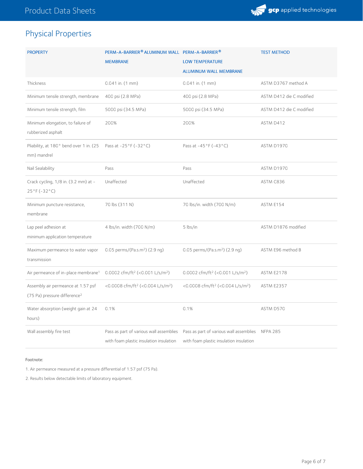

## Physical Properties

| <b>PROPERTY</b>                                                                | PERM-A-BARRIER® ALUMINUM WALL PERM-A-BARRIER®<br><b>MEMBRANE</b>                   | <b>LOW TEMPERATURE</b><br><b>ALUMINUM WALL MEMBRANE</b>                                     | <b>TEST METHOD</b>       |
|--------------------------------------------------------------------------------|------------------------------------------------------------------------------------|---------------------------------------------------------------------------------------------|--------------------------|
| Thickness                                                                      | $0.041$ in. $(1$ mm $)$                                                            | $0.041$ in. $(1$ mm $)$                                                                     | ASTM D3767 method A      |
| Minimum tensile strength, membrane                                             | 400 psi (2.8 MPa)                                                                  | 400 psi (2.8 MPa)                                                                           | ASTM D412 die C modified |
| Minimum tensile strength, film                                                 | 5000 psi (34.5 MPa)                                                                | 5000 psi (34.5 MPa)                                                                         | ASTM D412 die C modified |
| Minimum elongation, to failure of<br>rubberized asphalt                        | 200%                                                                               | 200%                                                                                        | ASTM D412                |
| Pliability, at 180° bend over 1 in. (25<br>mm) mandrel                         | Pass at $-25^{\circ}$ F ( $-32^{\circ}$ C)                                         | Pass at -45°F (-43°C)                                                                       | ASTM D1970               |
| Nail Sealability                                                               | Pass                                                                               | Pass                                                                                        | ASTM D1970               |
| Crack cycling, 1/8 in. (3.2 mm) at -<br>$25^{\circ}$ F (-32 $^{\circ}$ C)      | Unaffected                                                                         | Unaffected                                                                                  | ASTM C836                |
| Minimum puncture resistance,<br>membrane                                       | 70 lbs (311 N)                                                                     | 70 lbs/in. width (700 N/m)                                                                  | ASTM E154                |
| Lap peel adhesion at<br>minimum application temperature                        | 4 lbs/in. width (700 N/m)                                                          | 5 lbs/in                                                                                    | ASTM D1876 modified      |
| Maximum permeance to water vapor<br>transmission                               | 0.05 perms/(Pa.s.m <sup>2</sup> ) (2.9 ng)                                         | 0.05 perms/(Pa.s.m <sup>2</sup> ) (2.9 ng)                                                  | ASTM E96 method B        |
| Air permeance of in-place membrane <sup>1</sup>                                | 0.0002 cfm/ft <sup>2</sup> (<0.001 L/s/m <sup>2</sup> )                            | 0.0002 cfm/ft <sup>2</sup> (<0.001 L/s/m <sup>2</sup> )                                     | <b>ASTM E2178</b>        |
| Assembly air permeance at 1.57 psf<br>(75 Pa) pressure difference <sup>2</sup> | <0.0008 cfm/ft <sup>2</sup> (<0.004 L/s/m <sup>2</sup> )                           | <0.0008 cfm/ft <sup>2</sup> (<0.004 L/s/m <sup>2</sup> )                                    | <b>ASTM E2357</b>        |
| Water absorption (weight gain at 24<br>hours)                                  | 0.1%                                                                               | 0.1%                                                                                        | ASTM D570                |
| Wall assembly fire test                                                        | Pass as part of various wall assemblies<br>with foam plastic insulation insulation | Pass as part of various wall assemblies NFPA 285<br>with foam plastic insulation insulation |                          |

#### Footnote:

1. Air permeance measured at a pressure differential of 1.57 psf (75 Pa).

2. Results below detectable limits of laboratory equipment.